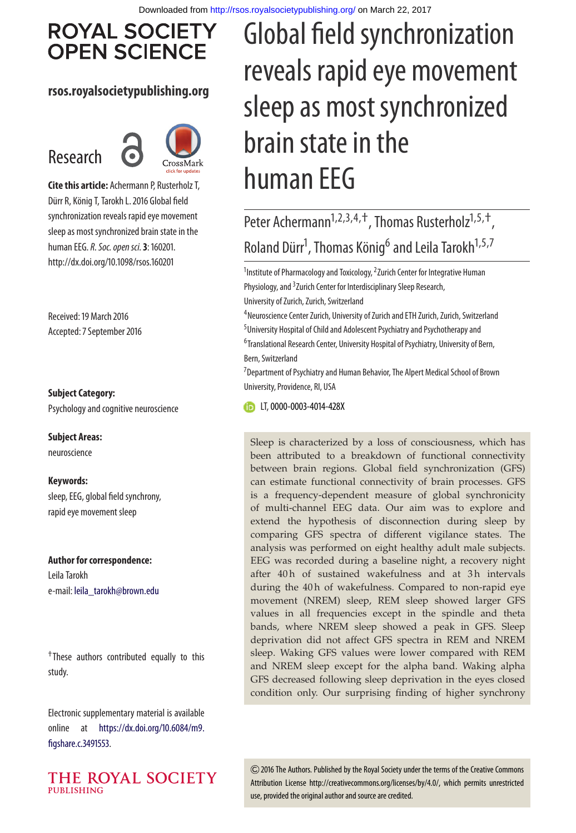# **ROYAL SOCIETY OPEN SCIENCE**

#### **rsos.royalsocietypublishing.org**

# Research



**Cite this article:** Achermann P, Rusterholz T, Dürr R, König T, Tarokh L. 2016 Global field synchronization reveals rapid eye movement sleep as most synchronized brain state in the human EEG.*R. Soc. open sci.***3**: 160201. http://dx.doi.org/10.1098/rsos.160201

Received: 19 March 2016 Accepted: 7 September 2016

#### **Subject Category:**

Psychology and cognitive neuroscience

**Subject Areas:** neuroscience

#### **Keywords:** sleep, EEG, global field synchrony,

rapid eye movement sleep

#### **Author for correspondence:**

Leila Tarokh e-mail: [leila\\_tarokh@brown.edu](mailto:leila_tarokh@brown.edu)

†These authors contributed equally to this study.

Electronic supplementary material is available online at [https://dx.doi.org/10.6084/m9.](https://dx.doi.org/10.6084/m9.figshare.c.3491553) [figshare.c.3491553.](https://dx.doi.org/10.6084/m9.figshare.c.3491553)



# Global field synchronization reveals rapid eye movement sleep as most synchronized brain state in the human EEG

# Peter Achermann<sup>1,2,3,4,+</sup>, Thomas Rusterholz<sup>1,5,+</sup>, Roland Dürr<sup>1</sup>, Thomas König<sup>6</sup> and Leila Tarokh<sup>1,5,7</sup>

<sup>1</sup> Institute of Pharmacology and Toxicology, <sup>2</sup> Zurich Center for Integrative Human Physiology, and <sup>3</sup> Zurich Center for Interdisciplinary Sleep Research, University of Zurich, Zurich, Switzerland

<sup>4</sup> Neuroscience Center Zurich, University of Zurich and ETH Zurich, Zurich, Switzerland <sup>5</sup> University Hospital of Child and Adolescent Psychiatry and Psychotherapy and

<sup>6</sup> Translational Research Center, University Hospital of Psychiatry, University of Bern, Bern, Switzerland

<sup>7</sup> Department of Psychiatry and Human Behavior, The Alpert Medical School of Brown University, Providence, RI, USA

**CD** LT, [0000-0003-4014-428X](http://orcid.org/0000-0003-4014-428X)

Sleep is characterized by a loss of consciousness, which has been attributed to a breakdown of functional connectivity between brain regions. Global field synchronization (GFS) can estimate functional connectivity of brain processes. GFS is a frequency-dependent measure of global synchronicity of multi-channel EEG data. Our aim was to explore and extend the hypothesis of disconnection during sleep by comparing GFS spectra of different vigilance states. The analysis was performed on eight healthy adult male subjects. EEG was recorded during a baseline night, a recovery night after 40h of sustained wakefulness and at 3h intervals during the 40 h of wakefulness. Compared to non-rapid eye movement (NREM) sleep, REM sleep showed larger GFS values in all frequencies except in the spindle and theta bands, where NREM sleep showed a peak in GFS. Sleep deprivation did not affect GFS spectra in REM and NREM sleep. Waking GFS values were lower compared with REM and NREM sleep except for the alpha band. Waking alpha GFS decreased following sleep deprivation in the eyes closed condition only. Our surprising finding of higher synchrony

2016 The Authors. Published by the Royal Society under the terms of the Creative Commons Attribution License http://creativecommons.org/licenses/by/4.0/, which permits unrestricted use, provided the original author and source are credited.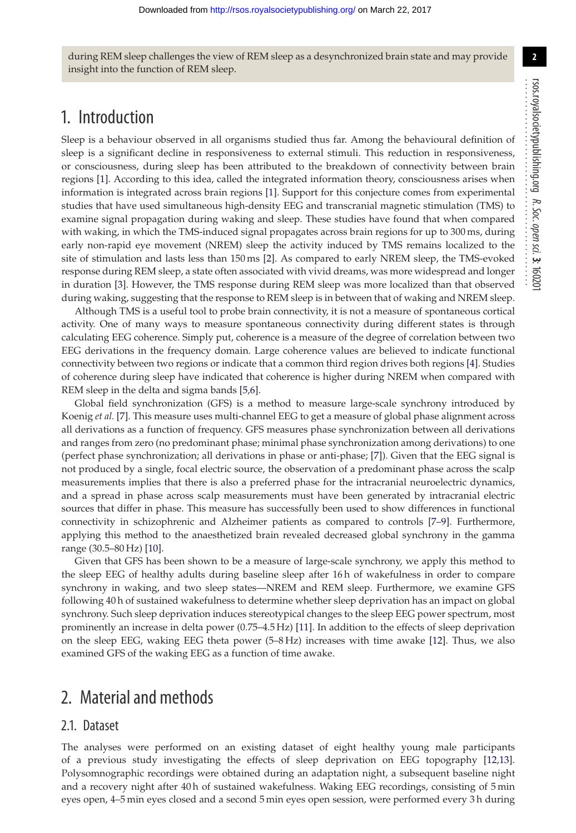during REM sleep challenges the view of REM sleep as a desynchronized brain state and may provide insight into the function of REM sleep.

## 1. Introduction

Sleep is a behaviour observed in all organisms studied thus far. Among the behavioural definition of sleep is a significant decline in responsiveness to external stimuli. This reduction in responsiveness, or consciousness, during sleep has been attributed to the breakdown of connectivity between brain regions [\[1\]](#page-7-0). According to this idea, called the integrated information theory, consciousness arises when information is integrated across brain regions [\[1\]](#page-7-0). Support for this conjecture comes from experimental studies that have used simultaneous high-density EEG and transcranial magnetic stimulation (TMS) to examine signal propagation during waking and sleep. These studies have found that when compared with waking, in which the TMS-induced signal propagates across brain regions for up to 300 ms, during early non-rapid eye movement (NREM) sleep the activity induced by TMS remains localized to the site of stimulation and lasts less than 150 ms [\[2\]](#page-7-1). As compared to early NREM sleep, the TMS-evoked response during REM sleep, a state often associated with vivid dreams, was more widespread and longer in duration [\[3\]](#page-7-2). However, the TMS response during REM sleep was more localized than that observed during waking, suggesting that the response to REM sleep is in between that of waking and NREM sleep.

Although TMS is a useful tool to probe brain connectivity, it is not a measure of spontaneous cortical activity. One of many ways to measure spontaneous connectivity during different states is through calculating EEG coherence. Simply put, coherence is a measure of the degree of correlation between two EEG derivations in the frequency domain. Large coherence values are believed to indicate functional connectivity between two regions or indicate that a common third region drives both regions [\[4\]](#page-7-3). Studies of coherence during sleep have indicated that coherence is higher during NREM when compared with REM sleep in the delta and sigma bands [\[5,](#page-7-4)[6\]](#page-7-5).

Global field synchronization (GFS) is a method to measure large-scale synchrony introduced by Koenig *et al.* [\[7\]](#page-7-6). This measure uses multi-channel EEG to get a measure of global phase alignment across all derivations as a function of frequency. GFS measures phase synchronization between all derivations and ranges from zero (no predominant phase; minimal phase synchronization among derivations) to one (perfect phase synchronization; all derivations in phase or anti-phase; [\[7\]](#page-7-6)). Given that the EEG signal is not produced by a single, focal electric source, the observation of a predominant phase across the scalp measurements implies that there is also a preferred phase for the intracranial neuroelectric dynamics, and a spread in phase across scalp measurements must have been generated by intracranial electric sources that differ in phase. This measure has successfully been used to show differences in functional connectivity in schizophrenic and Alzheimer patients as compared to controls [\[7–](#page-7-6)[9\]](#page-7-7). Furthermore, applying this method to the anaesthetized brain revealed decreased global synchrony in the gamma range (30.5–80 Hz) [\[10\]](#page-7-8).

Given that GFS has been shown to be a measure of large-scale synchrony, we apply this method to the sleep EEG of healthy adults during baseline sleep after 16 h of wakefulness in order to compare synchrony in waking, and two sleep states—NREM and REM sleep. Furthermore, we examine GFS following 40 h of sustained wakefulness to determine whether sleep deprivation has an impact on global synchrony. Such sleep deprivation induces stereotypical changes to the sleep EEG power spectrum, most prominently an increase in delta power (0.75–4.5 Hz) [\[11\]](#page-7-9). In addition to the effects of sleep deprivation on the sleep EEG, waking EEG theta power (5–8 Hz) increases with time awake [\[12\]](#page-7-10). Thus, we also examined GFS of the waking EEG as a function of time awake.

### 2. Material and methods

#### 2.1. Dataset

The analyses were performed on an existing dataset of eight healthy young male participants of a previous study investigating the effects of sleep deprivation on EEG topography [\[12](#page-7-10)[,13\]](#page-7-11). Polysomnographic recordings were obtained during an adaptation night, a subsequent baseline night and a recovery night after 40 h of sustained wakefulness. Waking EEG recordings, consisting of 5 min eyes open, 4–5 min eyes closed and a second 5 min eyes open session, were performed every 3 h during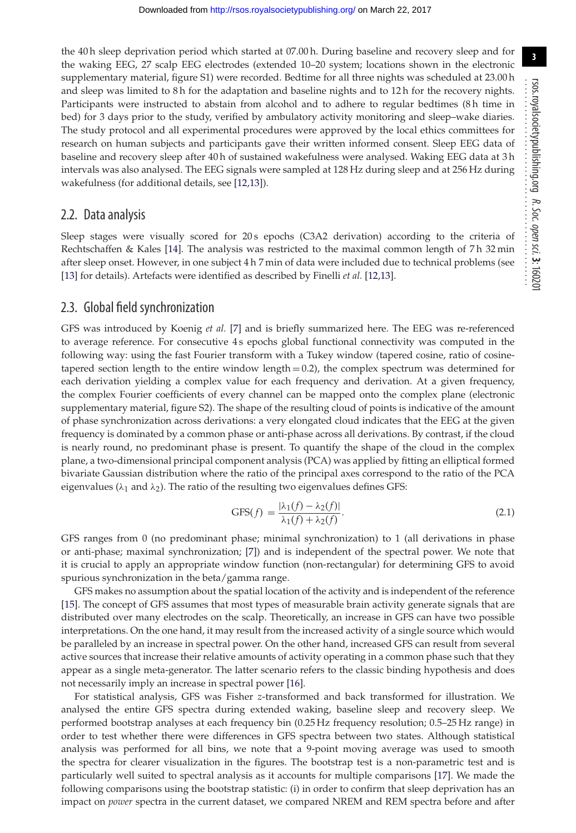the 40 h sleep deprivation period which started at 07.00 h. During baseline and recovery sleep and for the waking EEG, 27 scalp EEG electrodes (extended 10–20 system; locations shown in the electronic supplementary material, figure S1) were recorded. Bedtime for all three nights was scheduled at 23.00 h and sleep was limited to 8 h for the adaptation and baseline nights and to 12 h for the recovery nights. Participants were instructed to abstain from alcohol and to adhere to regular bedtimes (8h time in bed) for 3 days prior to the study, verified by ambulatory activity monitoring and sleep–wake diaries. The study protocol and all experimental procedures were approved by the local ethics committees for research on human subjects and participants gave their written informed consent. Sleep EEG data of baseline and recovery sleep after 40 h of sustained wakefulness were analysed. Waking EEG data at 3 h intervals was also analysed. The EEG signals were sampled at 128 Hz during sleep and at 256 Hz during wakefulness (for additional details, see [\[12](#page-7-10)[,13\]](#page-7-11)).

#### 2.2. Data analysis

Sleep stages were visually scored for 20s epochs (C3A2 derivation) according to the criteria of Rechtschaffen & Kales [\[14\]](#page-7-12). The analysis was restricted to the maximal common length of 7 h 32 min after sleep onset. However, in one subject 4 h 7 min of data were included due to technical problems (see [\[13\]](#page-7-11) for details). Artefacts were identified as described by Finelli *et al.* [\[12,](#page-7-10)[13\]](#page-7-11).

#### 2.3. Global field synchronization

GFS was introduced by Koenig *et al.* [\[7\]](#page-7-6) and is briefly summarized here. The EEG was re-referenced to average reference. For consecutive 4 s epochs global functional connectivity was computed in the following way: using the fast Fourier transform with a Tukey window (tapered cosine, ratio of cosinetapered section length to the entire window length  $= 0.2$ ), the complex spectrum was determined for each derivation yielding a complex value for each frequency and derivation. At a given frequency, the complex Fourier coefficients of every channel can be mapped onto the complex plane (electronic supplementary material, figure S2). The shape of the resulting cloud of points is indicative of the amount of phase synchronization across derivations: a very elongated cloud indicates that the EEG at the given frequency is dominated by a common phase or anti-phase across all derivations. By contrast, if the cloud is nearly round, no predominant phase is present. To quantify the shape of the cloud in the complex plane, a two-dimensional principal component analysis (PCA) was applied by fitting an elliptical formed bivariate Gaussian distribution where the ratio of the principal axes correspond to the ratio of the PCA eigenvalues ( $\lambda_1$  and  $\lambda_2$ ). The ratio of the resulting two eigenvalues defines GFS:

$$
GFS(f) = \frac{|\lambda_1(f) - \lambda_2(f)|}{\lambda_1(f) + \lambda_2(f)}.
$$
\n(2.1)

GFS ranges from 0 (no predominant phase; minimal synchronization) to 1 (all derivations in phase or anti-phase; maximal synchronization; [\[7\]](#page-7-6)) and is independent of the spectral power. We note that it is crucial to apply an appropriate window function (non-rectangular) for determining GFS to avoid spurious synchronization in the beta/gamma range.

GFS makes no assumption about the spatial location of the activity and is independent of the reference [\[15\]](#page-7-13). The concept of GFS assumes that most types of measurable brain activity generate signals that are distributed over many electrodes on the scalp. Theoretically, an increase in GFS can have two possible interpretations. On the one hand, it may result from the increased activity of a single source which would be paralleled by an increase in spectral power. On the other hand, increased GFS can result from several active sources that increase their relative amounts of activity operating in a common phase such that they appear as a single meta-generator. The latter scenario refers to the classic binding hypothesis and does not necessarily imply an increase in spectral power [\[16\]](#page-7-14).

For statistical analysis, GFS was Fisher *z*-transformed and back transformed for illustration. We analysed the entire GFS spectra during extended waking, baseline sleep and recovery sleep. We performed bootstrap analyses at each frequency bin (0.25 Hz frequency resolution; 0.5–25 Hz range) in order to test whether there were differences in GFS spectra between two states. Although statistical analysis was performed for all bins, we note that a 9-point moving average was used to smooth the spectra for clearer visualization in the figures. The bootstrap test is a non-parametric test and is particularly well suited to spectral analysis as it accounts for multiple comparisons [\[17\]](#page-8-0). We made the following comparisons using the bootstrap statistic: (i) in order to confirm that sleep deprivation has an impact on *power* spectra in the current dataset, we compared NREM and REM spectra before and after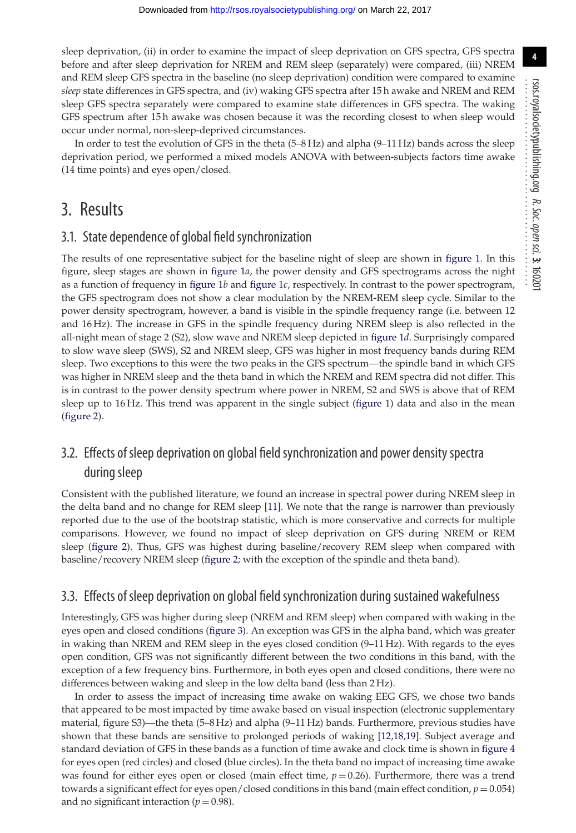sleep deprivation, (ii) in order to examine the impact of sleep deprivation on GFS spectra, GFS spectra before and after sleep deprivation for NREM and REM sleep (separately) were compared, (iii) NREM and REM sleep GFS spectra in the baseline (no sleep deprivation) condition were compared to examine *sleep* state differences in GFS spectra, and (iv) waking GFS spectra after 15 h awake and NREM and REM sleep GFS spectra separately were compared to examine state differences in GFS spectra. The waking GFS spectrum after 15 h awake was chosen because it was the recording closest to when sleep would occur under normal, non-sleep-deprived circumstances.

In order to test the evolution of GFS in the theta (5–8 Hz) and alpha (9–11 Hz) bands across the sleep deprivation period, we performed a mixed models ANOVA with between-subjects factors time awake (14 time points) and eyes open/closed.

## 3. Results

#### 3.1. State dependence of global field synchronization

The results of one representative subject for the baseline night of sleep are shown in [figure 1.](#page-4-0) In this figure, sleep stages are shown in [figure 1](#page-4-0)*a*, the power density and GFS spectrograms across the night as a function of frequency in [figure 1](#page-4-0)*b* and [figure 1](#page-4-0)*c*, respectively. In contrast to the power spectrogram, the GFS spectrogram does not show a clear modulation by the NREM-REM sleep cycle. Similar to the power density spectrogram, however, a band is visible in the spindle frequency range (i.e. between 12 and 16 Hz). The increase in GFS in the spindle frequency during NREM sleep is also reflected in the all-night mean of stage 2 (S2), slow wave and NREM sleep depicted in [figure 1](#page-4-0)*d*. Surprisingly compared to slow wave sleep (SWS), S2 and NREM sleep, GFS was higher in most frequency bands during REM sleep. Two exceptions to this were the two peaks in the GFS spectrum—the spindle band in which GFS was higher in NREM sleep and the theta band in which the NREM and REM spectra did not differ. This is in contrast to the power density spectrum where power in NREM, S2 and SWS is above that of REM sleep up to 16 Hz. This trend was apparent in the single subject [\(figure 1\)](#page-4-0) data and also in the mean [\(figure 2\)](#page-5-0).

### 3.2. Effects of sleep deprivation on global field synchronization and power density spectra during sleep

Consistent with the published literature, we found an increase in spectral power during NREM sleep in the delta band and no change for REM sleep [\[11\]](#page-7-9). We note that the range is narrower than previously reported due to the use of the bootstrap statistic, which is more conservative and corrects for multiple comparisons. However, we found no impact of sleep deprivation on GFS during NREM or REM sleep [\(figure 2\)](#page-5-0). Thus, GFS was highest during baseline/recovery REM sleep when compared with baseline/recovery NREM sleep [\(figure 2;](#page-5-0) with the exception of the spindle and theta band).

#### 3.3. Effects of sleep deprivation on global field synchronization during sustained wakefulness

Interestingly, GFS was higher during sleep (NREM and REM sleep) when compared with waking in the eyes open and closed conditions [\(figure 3\)](#page-5-1). An exception was GFS in the alpha band, which was greater in waking than NREM and REM sleep in the eyes closed condition (9–11 Hz). With regards to the eyes open condition, GFS was not significantly different between the two conditions in this band, with the exception of a few frequency bins. Furthermore, in both eyes open and closed conditions, there were no differences between waking and sleep in the low delta band (less than 2 Hz).

In order to assess the impact of increasing time awake on waking EEG GFS, we chose two bands that appeared to be most impacted by time awake based on visual inspection (electronic supplementary material, figure S3)—the theta (5–8 Hz) and alpha (9–11 Hz) bands. Furthermore, previous studies have shown that these bands are sensitive to prolonged periods of waking [\[12](#page-7-10)[,18,](#page-8-1)[19\]](#page-8-2). Subject average and standard deviation of GFS in these bands as a function of time awake and clock time is shown in [figure 4](#page-6-0) for eyes open (red circles) and closed (blue circles). In the theta band no impact of increasing time awake was found for either eyes open or closed (main effect time,  $p = 0.26$ ). Furthermore, there was a trend towards a significant effect for eyes open/closed conditions in this band (main effect condition,  $p = 0.054$ ) and no significant interaction  $(p = 0.98)$ .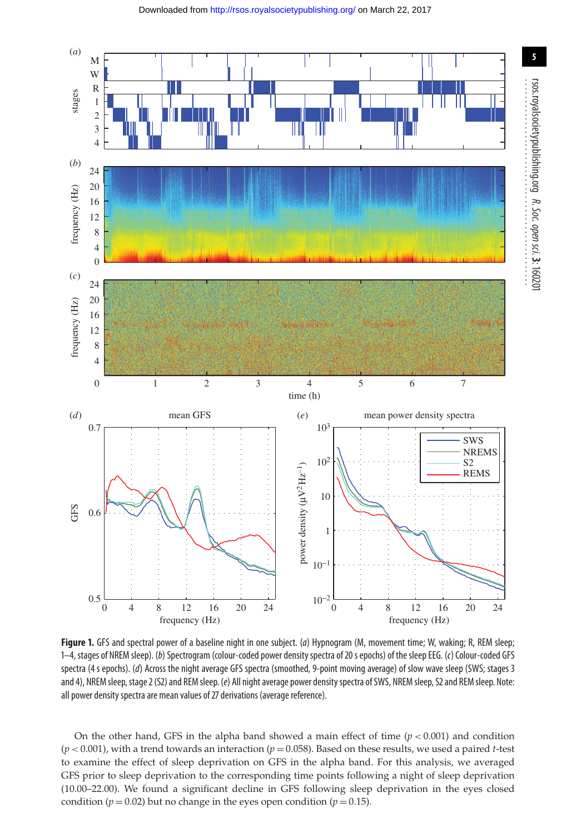

<span id="page-4-0"></span>**Figure 1.** GFS and spectral power of a baseline night in one subject. (*a*) Hypnogram (M, movement time; W, waking; R, REM sleep; 1–4, stages of NREM sleep). (*b*) Spectrogram (colour-coded power density spectra of 20 s epochs) of the sleep EEG. (*c*) Colour-coded GFS spectra (4 s epochs). (*d*) Across the night average GFS spectra (smoothed, 9-point moving average) of slow wave sleep (SWS; stages 3 and 4), NREM sleep, stage 2 (S2) and REM sleep. (e) All night average power density spectra of SWS, NREM sleep, S2 and REM sleep. Note: all power density spectra are mean values of 27 derivations (average reference).

On the other hand, GFS in the alpha band showed a main effect of time  $(p < 0.001)$  and condition  $(p < 0.001)$ , with a trend towards an interaction  $(p = 0.058)$ . Based on these results, we used a paired *t*-test to examine the effect of sleep deprivation on GFS in the alpha band. For this analysis, we averaged GFS prior to sleep deprivation to the corresponding time points following a night of sleep deprivation (10.00–22.00). We found a significant decline in GFS following sleep deprivation in the eyes closed condition ( $p = 0.02$ ) but no change in the eyes open condition ( $p = 0.15$ ).

**5**

rsos.royalsocietypublishing.org

*R. Soc.*

 *open*

 *sci.* **3**: 160201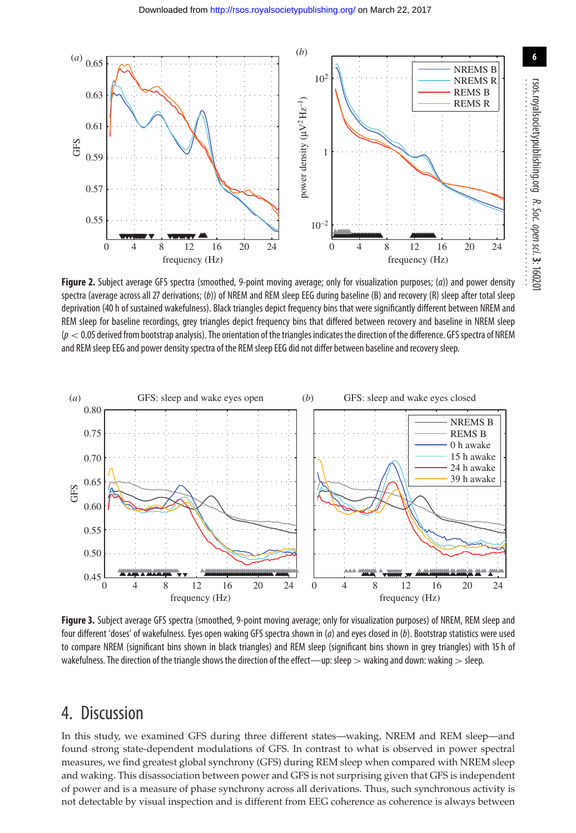

<span id="page-5-0"></span>**Figure 2.** Subject average GFS spectra (smoothed, 9-point moving average; only for visualization purposes; (*a*)) and power density spectra (average across all 27 derivations; (*b*)) of NREM and REM sleep EEG during baseline (B) and recovery (R) sleep after total sleep deprivation (40 h of sustained wakefulness). Black triangles depict frequency bins that were significantly different between NREM and REM sleep for baseline recordings, grey triangles depict frequency bins that differed between recovery and baseline in NREM sleep  $(p < 0.05$  derived from bootstrap analysis). The orientation of the triangles indicates the direction of the difference. GFS spectra of NREM and REM sleep EEG and power density spectra of the REM sleep EEG did not differ between baseline and recovery sleep.



<span id="page-5-1"></span>**Figure 3.** Subject average GFS spectra (smoothed, 9-point moving average; only for visualization purposes) of NREM, REM sleep and four different 'doses' of wakefulness. Eyes open waking GFS spectra shown in (*a*) and eyes closed in (*b*). Bootstrap statistics were used to compare NREM (significant bins shown in black triangles) and REM sleep (significant bins shown in grey triangles) with 15 h of wakefulness. The direction of the triangle shows the direction of the effect—up: sleep  $>$  waking and down: waking  $>$  sleep.

### 4. Discussion

In this study, we examined GFS during three different states—waking, NREM and REM sleep—and found strong state-dependent modulations of GFS. In contrast to what is observed in power spectral measures, we find greatest global synchrony (GFS) during REM sleep when compared with NREM sleep and waking. This disassociation between power and GFS is not surprising given that GFS is independent of power and is a measure of phase synchrony across all derivations. Thus, such synchronous activity is not detectable by visual inspection and is different from EEG coherence as coherence is always between

**6**

rsos.royalsocietypublishing.org

*R. Soc.*

 *open*

 *sci.* **3**: 160201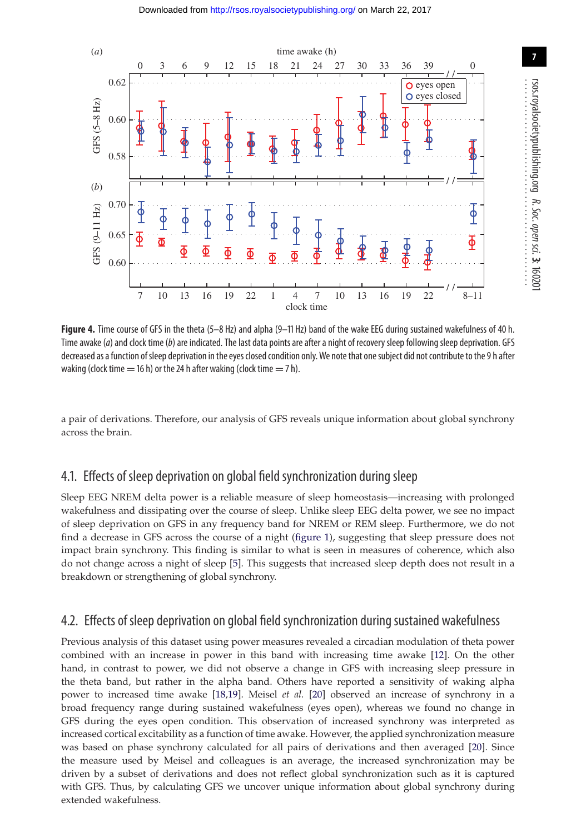

<span id="page-6-0"></span>**Figure 4.** Time course of GFS in the theta (5–8 Hz) and alpha (9–11 Hz) band of the wake EEG during sustained wakefulness of 40 h. Time awake (*a*) and clock time (*b*) are indicated. The last data points are after a night of recovery sleep following sleep deprivation. GFS decreased as a function ofsleep deprivation in the eyes closed condition only. We note that onesubject did not contribute to the 9 h after waking (clock time  $=$  16 h) or the 24 h after waking (clock time  $=$  7 h).

a pair of derivations. Therefore, our analysis of GFS reveals unique information about global synchrony across the brain.

#### 4.1. Effects of sleep deprivation on global field synchronization during sleep

Sleep EEG NREM delta power is a reliable measure of sleep homeostasis—increasing with prolonged wakefulness and dissipating over the course of sleep. Unlike sleep EEG delta power, we see no impact of sleep deprivation on GFS in any frequency band for NREM or REM sleep. Furthermore, we do not find a decrease in GFS across the course of a night [\(figure 1\)](#page-4-0), suggesting that sleep pressure does not impact brain synchrony. This finding is similar to what is seen in measures of coherence, which also do not change across a night of sleep [\[5\]](#page-7-4). This suggests that increased sleep depth does not result in a breakdown or strengthening of global synchrony.

#### 4.2. Effects of sleep deprivation on global field synchronization during sustained wakefulness

Previous analysis of this dataset using power measures revealed a circadian modulation of theta power combined with an increase in power in this band with increasing time awake [\[12\]](#page-7-10). On the other hand, in contrast to power, we did not observe a change in GFS with increasing sleep pressure in the theta band, but rather in the alpha band. Others have reported a sensitivity of waking alpha power to increased time awake [\[18](#page-8-1)[,19\]](#page-8-2). Meisel *et al.* [\[20\]](#page-8-3) observed an increase of synchrony in a broad frequency range during sustained wakefulness (eyes open), whereas we found no change in GFS during the eyes open condition. This observation of increased synchrony was interpreted as increased cortical excitability as a function of time awake. However, the applied synchronization measure was based on phase synchrony calculated for all pairs of derivations and then averaged [\[20\]](#page-8-3). Since the measure used by Meisel and colleagues is an average, the increased synchronization may be driven by a subset of derivations and does not reflect global synchronization such as it is captured with GFS. Thus, by calculating GFS we uncover unique information about global synchrony during extended wakefulness.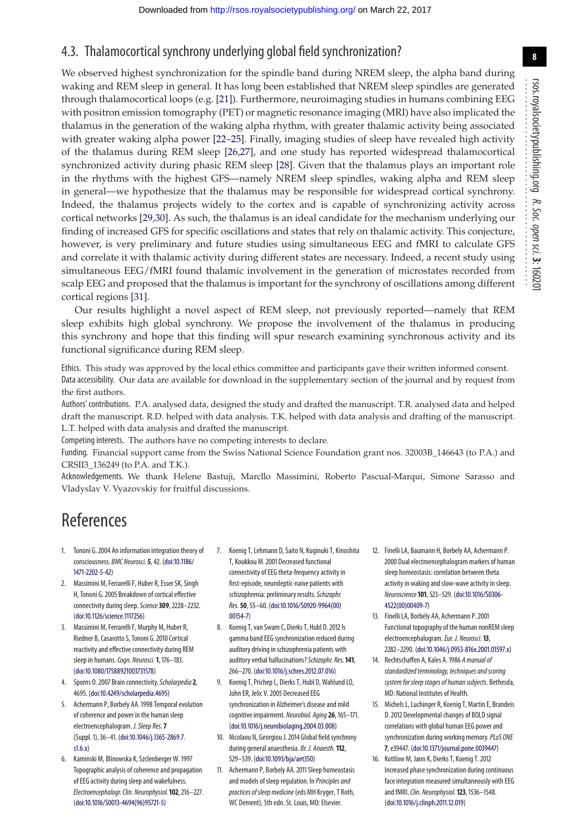# 4.3. Thalamocortical synchrony underlying global field synchronization?

We observed highest synchronization for the spindle band during NREM sleep, the alpha band during waking and REM sleep in general. It has long been established that NREM sleep spindles are generated through thalamocortical loops (e.g. [\[21\]](#page-8-4)). Furthermore, neuroimaging studies in humans combining EEG with positron emission tomography (PET) or magnetic resonance imaging (MRI) have also implicated the thalamus in the generation of the waking alpha rhythm, with greater thalamic activity being associated with greater waking alpha power [\[22–](#page-8-5)[25\]](#page-8-6). Finally, imaging studies of sleep have revealed high activity of the thalamus during REM sleep [\[26](#page-8-7)[,27\]](#page-8-8), and one study has reported widespread thalamocortical synchronized activity during phasic REM sleep [\[28\]](#page-8-9). Given that the thalamus plays an important role in the rhythms with the highest GFS—namely NREM sleep spindles, waking alpha and REM sleep in general—we hypothesize that the thalamus may be responsible for widespread cortical synchrony. Indeed, the thalamus projects widely to the cortex and is capable of synchronizing activity across cortical networks [\[29](#page-8-10)[,30\]](#page-8-11). As such, the thalamus is an ideal candidate for the mechanism underlying our finding of increased GFS for specific oscillations and states that rely on thalamic activity. This conjecture, however, is very preliminary and future studies using simultaneous EEG and fMRI to calculate GFS and correlate it with thalamic activity during different states are necessary. Indeed, a recent study using simultaneous EEG/fMRI found thalamic involvement in the generation of microstates recorded from scalp EEG and proposed that the thalamus is important for the synchrony of oscillations among different cortical regions [\[31\]](#page-8-12).

Our results highlight a novel aspect of REM sleep, not previously reported—namely that REM sleep exhibits high global synchrony. We propose the involvement of the thalamus in producing this synchrony and hope that this finding will spur research examining synchronous activity and its functional significance during REM sleep.

Ethics. This study was approved by the local ethics committee and participants gave their written informed consent. Data accessibility. Our data are available for download in the supplementary section of the journal and by request from the first authors.

Authors' contributions. P.A. analysed data, designed the study and drafted the manuscript. T.R. analysed data and helped draft the manuscript. R.D. helped with data analysis. T.K. helped with data analysis and drafting of the manuscript. L.T. helped with data analysis and drafted the manuscript.

Competing interests. The authors have no competing interests to declare.

Funding. Financial support came from the Swiss National Science Foundation grant nos. 32003B\_146643 (to P.A.) and CRSII3\_136249 (to P.A. and T.K.).

Acknowledgements. We thank Helene Bastuji, Marcllo Massimini, Roberto Pascual-Marqui, Simone Sarasso and Vladyslav V. Vyazovskiy for fruitful discussions.

# References

- <span id="page-7-0"></span>1. Tononi G. 2004 An information integration theory of consciousness. *BMC Neurosci.***5**, 42. [\(doi:10.1186/](http://dx.doi.org/10.1186/1471-2202-5-42) [1471-2202-5-42\)](http://dx.doi.org/10.1186/1471-2202-5-42)
- <span id="page-7-1"></span>2. Massimini M, Ferrarelli F, Huber R, Esser SK, Singh H, Tononi G. 2005 Breakdown of cortical effective connectivity during sleep.*Science***309**, 2228–2232. [\(doi:10.1126/science.1117256\)](http://dx.doi.org/10.1126/science.1117256)
- <span id="page-7-2"></span>3. Massimini M, Ferrarelli F, Murphy M, Huber R, Riedner B, Casarotto S, Tononi G. 2010 Cortical reactivity and effective connectivity during REM sleep in humans.*Cogn. Neurosci.***1**, 176–183. [\(doi:10.1080/17588921003731578\)](http://dx.doi.org/10.1080/17588921003731578)
- <span id="page-7-3"></span>4. Sporns O. 2007 Brain connectivity.*Scholarpedia***2**, 4695. [\(doi:10.4249/scholarpedia.4695\)](http://dx.doi.org/10.4249/scholarpedia.4695)
- <span id="page-7-4"></span>5. Achermann P, Borbely AA. 1998 Temporal evolution of coherence and power in the human sleep electroencephalogram. *J. Sleep Res.***7** (Suppl. 1), 36–41. [\(doi:10.1046/j.1365-2869.7.](http://dx.doi.org/10.1046/j.1365-2869.7.s1.6.x) [s1.6.x\)](http://dx.doi.org/10.1046/j.1365-2869.7.s1.6.x)
- <span id="page-7-5"></span>6. Kaminski M, Blinowska K, Szclenberger W. 1997 Topographic analysis of coherence and propagation of EEG activity during sleep and wakefulness. *Electroencephalogr. Clin. Neurophysiol.* **102**, 216–227. [\(doi:10.1016/S0013-4694\(96\)95721-5\)](http://dx.doi.org/10.1016/S0013-4694(96)95721-5)
- <span id="page-7-6"></span>7. Koenig T, Lehmann D, Saito N, Kuginuki T, Kinoshita T, Koukkou M. 2001 Decreased functional connectivity of EEG theta-frequency activity in first-episode, neuroleptic-naive patients with schizophrenia: preliminary results.*Schizophr. Res.***50**, 55–60. [\(doi:10.1016/S0920-9964\(00\)](http://dx.doi.org/10.1016/S0920-9964(00)00154-7) [00154-7\)](http://dx.doi.org/10.1016/S0920-9964(00)00154-7)
- 8. Koenig T, van Swam C, Dierks T, Hubl D. 2012 Is gamma band EEG synchronization reduced during auditory driving in schizophrenia patients with auditory verbal hallucinations?*Schizophr. Res.***141**, 266–270. [\(doi:10.1016/j.schres.2012.07.016\)](http://dx.doi.org/10.1016/j.schres.2012.07.016)
- <span id="page-7-7"></span>9. Koenig T, Prichep L, Dierks T, Hubl D, Wahlund LO, John ER, Jelic V. 2005 Decreased EEG synchronization in Alzheimer's disease and mild cognitive impairment. *Neurobiol. Aging***26**, 165–171. [\(doi:10.1016/j.neurobiolaging.2004.03.008\)](http://dx.doi.org/10.1016/j.neurobiolaging.2004.03.008)
- <span id="page-7-8"></span>10. Nicolaou N, Georgiou J. 2014 Global field synchrony during general anaesthesia. *Br. J. Anaesth.***112**, 529–539. [\(doi:10.1093/bja/aet350\)](http://dx.doi.org/10.1093/bja/aet350)
- <span id="page-7-9"></span>11. Achermann P, Borbely AA. 2011 Sleep homeostasis and models of sleep regulation. In *Principles and practices of sleep medicine* (eds MH Kryger, T Roth, WC Dement), 5th edn. St. Louis, MO: Elsevier.
- <span id="page-7-10"></span>12. Finelli LA, Baumann H, Borbely AA, Achermann P. 2000 Dual electroencephalogram markers of human sleep homeostasis: correlation between theta activity in waking and slow-wave activity in sleep. *Neuroscience***101**, 523–529. [\(doi:10.1016/S0306-](http://dx.doi.org/10.1016/S0306-4522(00)00409-7) [4522\(00\)00409-7\)](http://dx.doi.org/10.1016/S0306-4522(00)00409-7)
- <span id="page-7-11"></span>13. Finelli LA, Borbély AA, Achermann P. 2001 Functional topography of the human nonREM sleep electroencephalogram.*Eur. J. Neurosci.***13**, 2282–2290. [\(doi:10.1046/j.0953-816x.2001.01597.x\)](http://dx.doi.org/10.1046/j.0953-816x.2001.01597.x)
- <span id="page-7-12"></span>14. Rechtschaffen A, Kales A. 1986 *A manual of standardized terminology, techniques and scoring system for sleep stages of human subjects*. Bethesda, MD: National Institutes of Health.
- <span id="page-7-13"></span>15. Michels L, Luchinger R, Koenig T, Martin E, Brandeis D. 2012 Developmental changes of BOLD signal correlations with global human EEG power and synchronization during working memory.*PLoS ONE* **7**, e39447. [\(doi:10.1371/journal.pone.0039447\)](http://dx.doi.org/10.1371/journal.pone.0039447)
- <span id="page-7-14"></span>16. Kottlow M, Jann K, Dierks T, Koenig T. 2012 Increased phase synchronization during continuous face integration measured simultaneously with EEG and fMRI.*Clin. Neurophysiol.***123**, 1536–1548. [\(doi:10.1016/j.clinph.2011.12.019\)](http://dx.doi.org/10.1016/j.clinph.2011.12.019)